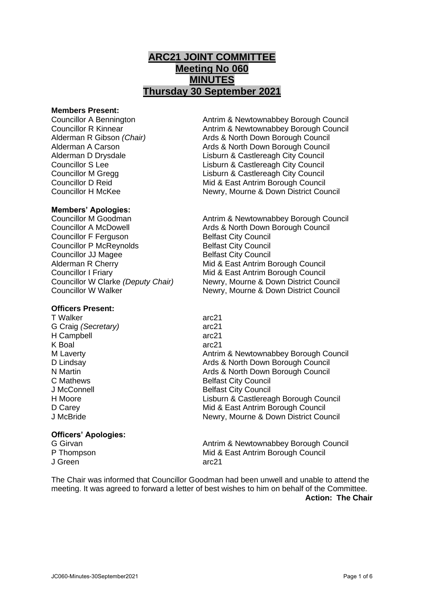# **ARC21 JOINT COMMITTEE Meeting No 060 MINUTES Thursday 30 September 2021**

#### **Members Present:**

### **Members' Apologies:**

Councillor F Ferguson Belfast City Council Councillor P McReynolds Belfast City Council **Councillor JJ Magee Belfast City Council** 

# **Officers Present:**

T Walker arc21 G Craig *(Secretary)* arc21 H Campbell arc21 K Boal arc21

# **Officers' Apologies:**

J Green arc21

Councillor A Bennington Antrim & Newtownabbey Borough Council Councillor R Kinnear **Antrim & Newtownabbey Borough Council** Alderman R Gibson *(Chair)* Ards & North Down Borough Council Alderman A Carson **Ards & North Down Borough Council** Alderman D Drysdale Lisburn & Castlereagh City Council Councillor S Lee Lisburn & Castlereagh City Council Councillor M Gregg Lisburn & Castlereagh City Council Councillor D Reid Mid & East Antrim Borough Council Councillor H McKee Newry, Mourne & Down District Council

Councillor M Goodman **Antrim & Newtownabbey Borough Council** Councillor A McDowell **Ards & North Down Borough Council** Alderman R Cherry **Mid & East Antrim Borough Council** Councillor I Friary Mid & East Antrim Borough Council Councillor W Clarke *(Deputy Chair)* Newry, Mourne & Down District Council Councillor W Walker Newry, Mourne & Down District Council

M Laverty **Antrim & Newtownabbey Borough Council** Antrim & Newtownabbey Borough Council D Lindsay **Ards & North Down Borough Council** Pulled Ards & North Down Borough Council N Martin Ards & North Down Borough Council C Mathews **Belfast City Council** J McConnell **Belfast City Council** H Moore Lisburn & Castlereagh Borough Council D Carey **D** Carey **Mid & East Antrim Borough Council** J McBride Newry, Mourne & Down District Council

G Girvan **Antrim & Newtownabbey Borough Council** Antrim & Newtownabbey Borough Council P Thompson Mid & East Antrim Borough Council

The Chair was informed that Councillor Goodman had been unwell and unable to attend the meeting. It was agreed to forward a letter of best wishes to him on behalf of the Committee. **Action: The Chair**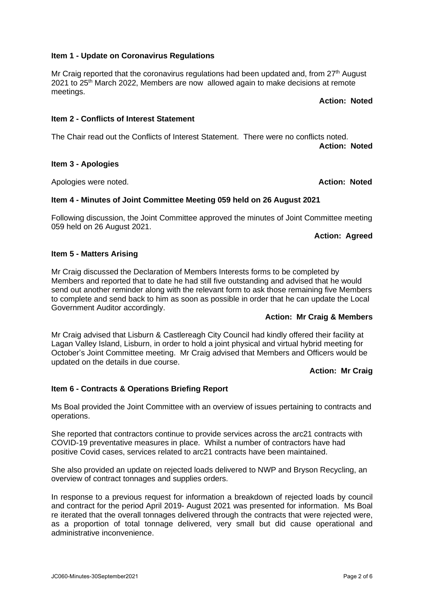#### **Item 1 - Update on Coronavirus Regulations**

Mr Craig reported that the coronavirus regulations had been updated and, from 27<sup>th</sup> August 2021 to 25<sup>th</sup> March 2022, Members are now allowed again to make decisions at remote meetings.

# **Action: Noted**

#### **Item 2 - Conflicts of Interest Statement**

The Chair read out the Conflicts of Interest Statement. There were no conflicts noted. **Action: Noted**

### **Item 3 - Apologies**

Apologies were noted. **Action: Noted**

#### **Item 4 - Minutes of Joint Committee Meeting 059 held on 26 August 2021**

Following discussion, the Joint Committee approved the minutes of Joint Committee meeting 059 held on 26 August 2021.

**Action: Agreed**

### **Item 5 - Matters Arising**

Mr Craig discussed the Declaration of Members Interests forms to be completed by Members and reported that to date he had still five outstanding and advised that he would send out another reminder along with the relevant form to ask those remaining five Members to complete and send back to him as soon as possible in order that he can update the Local Government Auditor accordingly.

# **Action: Mr Craig & Members**

Mr Craig advised that Lisburn & Castlereagh City Council had kindly offered their facility at Lagan Valley Island, Lisburn, in order to hold a joint physical and virtual hybrid meeting for October's Joint Committee meeting. Mr Craig advised that Members and Officers would be updated on the details in due course.

### **Action: Mr Craig**

# **Item 6 - Contracts & Operations Briefing Report**

Ms Boal provided the Joint Committee with an overview of issues pertaining to contracts and operations.

She reported that contractors continue to provide services across the arc21 contracts with COVID-19 preventative measures in place. Whilst a number of contractors have had positive Covid cases, services related to arc21 contracts have been maintained.

She also provided an update on rejected loads delivered to NWP and Bryson Recycling, an overview of contract tonnages and supplies orders.

In response to a previous request for information a breakdown of rejected loads by council and contract for the period April 2019- August 2021 was presented for information. Ms Boal re iterated that the overall tonnages delivered through the contracts that were rejected were, as a proportion of total tonnage delivered, very small but did cause operational and administrative inconvenience.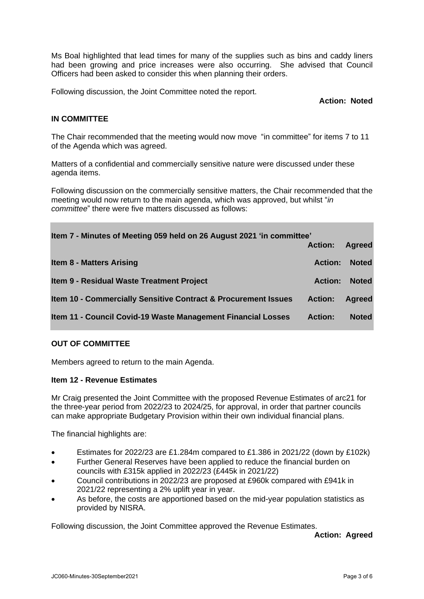Ms Boal highlighted that lead times for many of the supplies such as bins and caddy liners had been growing and price increases were also occurring. She advised that Council Officers had been asked to consider this when planning their orders.

Following discussion, the Joint Committee noted the report.

**Action: Noted**

# **IN COMMITTEE**

The Chair recommended that the meeting would now move "in committee" for items 7 to 11 of the Agenda which was agreed.

Matters of a confidential and commercially sensitive nature were discussed under these agenda items.

Following discussion on the commercially sensitive matters, the Chair recommended that the meeting would now return to the main agenda, which was approved, but whilst "*in committee*" there were five matters discussed as follows:

| Item 7 - Minutes of Meeting 059 held on 26 August 2021 'in committee'     |                |               |
|---------------------------------------------------------------------------|----------------|---------------|
|                                                                           | <b>Action:</b> | <b>Agreed</b> |
| <b>Item 8 - Matters Arising</b>                                           | <b>Action:</b> | <b>Noted</b>  |
| <b>Item 9 - Residual Waste Treatment Project</b>                          | <b>Action:</b> | <b>Noted</b>  |
| <b>Item 10 - Commercially Sensitive Contract &amp; Procurement Issues</b> | <b>Action:</b> | <b>Agreed</b> |
| Item 11 - Council Covid-19 Waste Management Financial Losses              | <b>Action:</b> | <b>Noted</b>  |

#### **OUT OF COMMITTEE**

Members agreed to return to the main Agenda.

#### **Item 12 - Revenue Estimates**

Mr Craig presented the Joint Committee with the proposed Revenue Estimates of arc21 for the three-year period from 2022/23 to 2024/25, for approval, in order that partner councils can make appropriate Budgetary Provision within their own individual financial plans.

The financial highlights are:

- Estimates for 2022/23 are £1.284m compared to £1.386 in 2021/22 (down by £102k)
- Further General Reserves have been applied to reduce the financial burden on councils with £315k applied in 2022/23 (£445k in 2021/22)
- Council contributions in 2022/23 are proposed at £960k compared with £941k in 2021/22 representing a 2% uplift year in year.
- As before, the costs are apportioned based on the mid-year population statistics as provided by NISRA.

Following discussion, the Joint Committee approved the Revenue Estimates.

**Action: Agreed**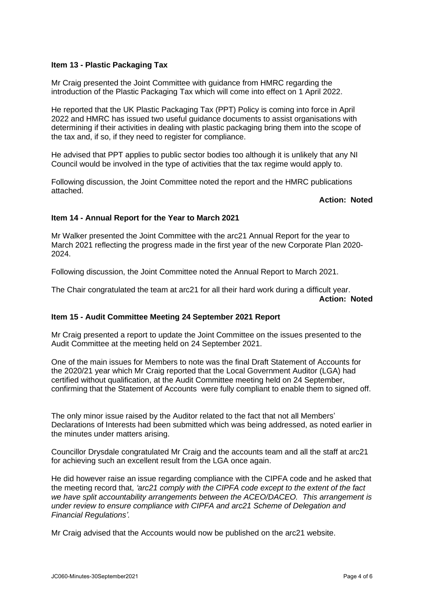# **Item 13 - Plastic Packaging Tax**

Mr Craig presented the Joint Committee with guidance from HMRC regarding the introduction of the Plastic Packaging Tax which will come into effect on 1 April 2022.

He reported that the UK Plastic Packaging Tax (PPT) Policy is coming into force in April 2022 and HMRC has issued two useful guidance documents to assist organisations with determining if their activities in dealing with plastic packaging bring them into the scope of the tax and, if so, if they need to register for compliance.

He advised that PPT applies to public sector bodies too although it is unlikely that any NI Council would be involved in the type of activities that the tax regime would apply to.

Following discussion, the Joint Committee noted the report and the HMRC publications attached.

### **Action: Noted**

# **Item 14 - Annual Report for the Year to March 2021**

Mr Walker presented the Joint Committee with the arc21 Annual Report for the year to March 2021 reflecting the progress made in the first year of the new Corporate Plan 2020- 2024.

Following discussion, the Joint Committee noted the Annual Report to March 2021.

The Chair congratulated the team at arc21 for all their hard work during a difficult year. **Action: Noted**

#### **Item 15 - Audit Committee Meeting 24 September 2021 Report**

Mr Craig presented a report to update the Joint Committee on the issues presented to the Audit Committee at the meeting held on 24 September 2021.

One of the main issues for Members to note was the final Draft Statement of Accounts for the 2020/21 year which Mr Craig reported that the Local Government Auditor (LGA) had certified without qualification, at the Audit Committee meeting held on 24 September, confirming that the Statement of Accounts were fully compliant to enable them to signed off.

The only minor issue raised by the Auditor related to the fact that not all Members' Declarations of Interests had been submitted which was being addressed, as noted earlier in the minutes under matters arising.

Councillor Drysdale congratulated Mr Craig and the accounts team and all the staff at arc21 for achieving such an excellent result from the LGA once again.

He did however raise an issue regarding compliance with the CIPFA code and he asked that the meeting record that, *'arc21 comply with the CIPFA code except to the extent of the fact we have split accountability arrangements between the ACEO/DACEO. This arrangement is under review to ensure compliance with CIPFA and arc21 Scheme of Delegation and Financial Regulations'.*

Mr Craig advised that the Accounts would now be published on the arc21 website.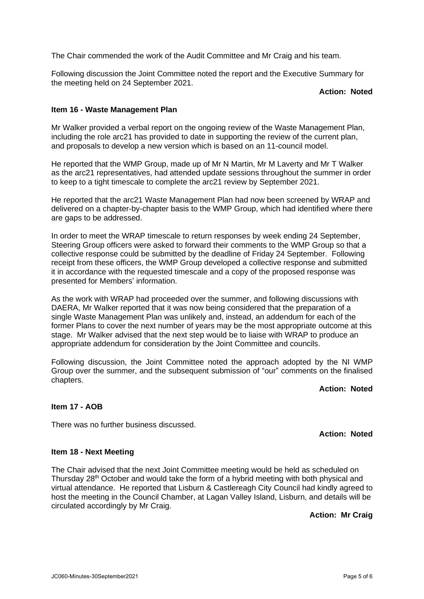The Chair commended the work of the Audit Committee and Mr Craig and his team.

Following discussion the Joint Committee noted the report and the Executive Summary for the meeting held on 24 September 2021.

#### **Action: Noted**

### **Item 16 - Waste Management Plan**

Mr Walker provided a verbal report on the ongoing review of the Waste Management Plan, including the role arc21 has provided to date in supporting the review of the current plan, and proposals to develop a new version which is based on an 11-council model.

He reported that the WMP Group, made up of Mr N Martin, Mr M Laverty and Mr T Walker as the arc21 representatives, had attended update sessions throughout the summer in order to keep to a tight timescale to complete the arc21 review by September 2021.

He reported that the arc21 Waste Management Plan had now been screened by WRAP and delivered on a chapter-by-chapter basis to the WMP Group, which had identified where there are gaps to be addressed.

In order to meet the WRAP timescale to return responses by week ending 24 September, Steering Group officers were asked to forward their comments to the WMP Group so that a collective response could be submitted by the deadline of Friday 24 September. Following receipt from these officers, the WMP Group developed a collective response and submitted it in accordance with the requested timescale and a copy of the proposed response was presented for Members' information.

As the work with WRAP had proceeded over the summer, and following discussions with DAERA, Mr Walker reported that it was now being considered that the preparation of a single Waste Management Plan was unlikely and, instead, an addendum for each of the former Plans to cover the next number of years may be the most appropriate outcome at this stage. Mr Walker advised that the next step would be to liaise with WRAP to produce an appropriate addendum for consideration by the Joint Committee and councils.

Following discussion, the Joint Committee noted the approach adopted by the NI WMP Group over the summer, and the subsequent submission of "our" comments on the finalised chapters.

# **Action: Noted**

#### **Item 17 - AOB**

There was no further business discussed.

**Action: Noted**

### **Item 18 - Next Meeting**

The Chair advised that the next Joint Committee meeting would be held as scheduled on Thursday 28<sup>th</sup> October and would take the form of a hybrid meeting with both physical and virtual attendance. He reported that Lisburn & Castlereagh City Council had kindly agreed to host the meeting in the Council Chamber, at Lagan Valley Island, Lisburn, and details will be circulated accordingly by Mr Craig.

**Action: Mr Craig**